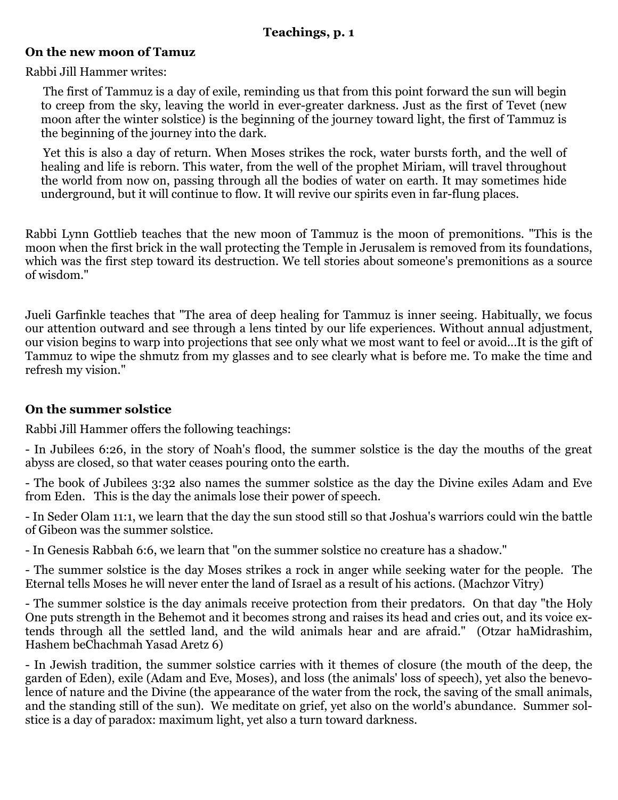## **Teachings, p. 1**

## **On the new moon of Tamuz**

Rabbi Jill Hammer writes:

The first of Tammuz is a day of exile, reminding us that from this point forward the sun will begin to creep from the sky, leaving the world in ever-greater darkness. Just as the first of Tevet (new moon after the winter solstice) is the beginning of the journey toward light, the first of Tammuz is the beginning of the journey into the dark.

Yet this is also a day of return. When Moses strikes the rock, water bursts forth, and the well of healing and life is reborn. This water, from the well of the prophet Miriam, will travel throughout the world from now on, passing through all the bodies of water on earth. It may sometimes hide underground, but it will continue to flow. It will revive our spirits even in far-flung places.

Rabbi Lynn Gottlieb teaches that the new moon of Tammuz is the moon of premonitions. "This is the moon when the first brick in the wall protecting the Temple in Jerusalem is removed from its foundations, which was the first step toward its destruction. We tell stories about someone's premonitions as a source of wisdom."

Jueli Garfinkle teaches that "The area of deep healing for Tammuz is inner seeing. Habitually, we focus our attention outward and see through a lens tinted by our life experiences. Without annual adjustment, our vision begins to warp into projections that see only what we most want to feel or avoid...It is the gift of Tammuz to wipe the shmutz from my glasses and to see clearly what is before me. To make the time and refresh my vision."

## **On the summer solstice**

Rabbi Jill Hammer offers the following teachings:

- In Jubilees 6:26, in the story of Noah's flood, the summer solstice is the day the mouths of the great abyss are closed, so that water ceases pouring onto the earth.

- The book of Jubilees 3:32 also names the summer solstice as the day the Divine exiles Adam and Eve from Eden. This is the day the animals lose their power of speech.

- In Seder Olam 11:1, we learn that the day the sun stood still so that Joshua's warriors could win the battle of Gibeon was the summer solstice.

- In Genesis Rabbah 6:6, we learn that "on the summer solstice no creature has a shadow."

- The summer solstice is the day Moses strikes a rock in anger while seeking water for the people. The Eternal tells Moses he will never enter the land of Israel as a result of his actions. (Machzor Vitry)

- The summer solstice is the day animals receive protection from their predators. On that day "the Holy One puts strength in the Behemot and it becomes strong and raises its head and cries out, and its voice extends through all the settled land, and the wild animals hear and are afraid." (Otzar haMidrashim, Hashem beChachmah Yasad Aretz 6)

- In Jewish tradition, the summer solstice carries with it themes of closure (the mouth of the deep, the garden of Eden), exile (Adam and Eve, Moses), and loss (the animals' loss of speech), yet also the benevolence of nature and the Divine (the appearance of the water from the rock, the saving of the small animals, and the standing still of the sun). We meditate on grief, yet also on the world's abundance. Summer solstice is a day of paradox: maximum light, yet also a turn toward darkness.